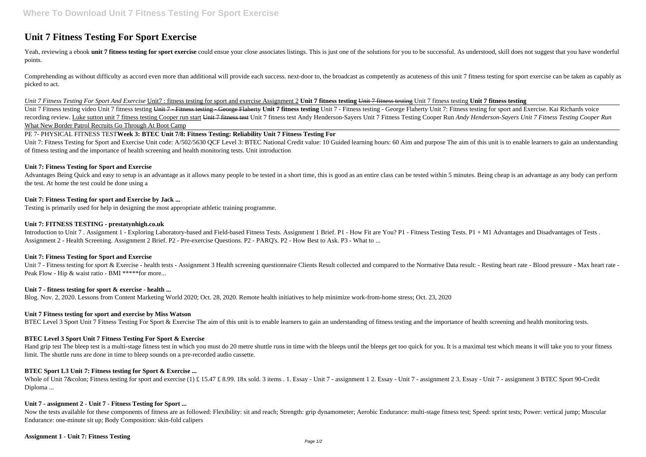# **Unit 7 Fitness Testing For Sport Exercise**

Yeah, reviewing a ebook unit 7 fitness testing for sport exercise could ensue your close associates listings. This is just one of the solutions for you to be successful. As understood, skill does not suggest that you have points.

Comprehending as without difficulty as accord even more than additional will provide each success. next-door to, the broadcast as competently as acuteness of this unit 7 fitness testing for sport exercise can be taken as c picked to act.

Unit 7 Fitness testing video Unit 7 fitness testing Unit 7 - Fitness testing - George Flaherty Unit 7 fitness testing Unit 7 - Fitness testing - George Flaherty Unit 7: Fitness testing for sport and Exercise. Kai Richards recording review. Luke sutton unit 7 fitness testing Cooper run start Unit 7 fitness test Unit 7 fitness test Andy Henderson-Sayers Unit 7 Fitness Testing Cooper Run Andy Henderson-Sayers Unit 7 Fitness Testing Cooper Run What New Border Patrol Recruits Go Through At Boot Camp

### *Unit 7 Fitness Testing For Sport And Exercise* Unit7 : fitness testing for sport and exercise Assignment 2 **Unit 7 fitness testing** Unit 7 fitness testing Unit 7 fitness testing **Unit 7 fitness testing**

Unit 7: Fitness Testing for Sport and Exercise Unit code: A/502/5630 QCF Level 3: BTEC National Credit value: 10 Guided learning hours: 60 Aim and purpose The aim of this unit is to enable learners to gain an understanding of fitness testing and the importance of health screening and health monitoring tests. Unit introduction

Advantages Being Quick and easy to setup is an advantage as it allows many people to be tested in a short time, this is good as an entire class can be tested within 5 minutes. Being cheap is an advantage as any body can pe the test. At home the test could be done using a

Introduction to Unit 7. Assignment 1 - Exploring Laboratory-based and Field-based Fitness Tests. Assignment 1 Brief. P1 - How Fit are You? P1 - Fitness Testing Tests. P1 + M1 Advantages and Disadvantages of Tests. Assignment 2 - Health Screening. Assignment 2 Brief. P2 - Pre-exercise Questions. P2 - PARQ's. P2 - How Best to Ask. P3 - What to ...

# PE 7- PHYSICAL FITNESS TEST**Week 3: BTEC Unit 7/8: Fitness Testing: Reliability Unit 7 Fitness Testing For**

### **Unit 7: Fitness Testing for Sport and Exercise**

Hand grip test The bleep test is a multi-stage fitness test in which you must do 20 metre shuttle runs in time with the bleeps until the bleeps get too quick for you. It is a maximal test which means it will take you to yo limit. The shuttle runs are done in time to bleep sounds on a pre-recorded audio cassette.

Whole of Unit 7: Fitness testing for sport and exercise (1) £ 15.47 £ 8.99. 18x sold. 3 items . 1. Essay - Unit 7 - assignment 1 2. Essay - Unit 7 - assignment 2 3. Essay - Unit 7 - assignment 3 BTEC Sport 90-Credit Diploma ...

# **Unit 7: Fitness Testing for sport and Exercise by Jack ...**

Testing is primarily used for help in designing the most appropriate athletic training programme.

# **Unit 7: FITNESS TESTING - prestatynhigh.co.uk**

Now the tests available for these components of fitness are as followed: Flexibility: sit and reach; Strength: grip dynamometer; Aerobic Endurance: multi-stage fitness test; Speed: sprint tests; Power: vertical jump; Muscu Endurance: one-minute sit up; Body Composition: skin-fold calipers

### **Unit 7: Fitness Testing for Sport and Exercise**

Unit 7 - Fitness testing for sport & Exercise - health tests - Assignment 3 Health screening questionnaire Clients Result collected and compared to the Normative Data result: - Resting heart rate - Blood pressure - Max hea Peak Flow - Hip & waist ratio - BMI \*\*\*\*\*for more...

### **Unit 7 - fitness testing for sport & exercise - health ...**

Blog. Nov. 2, 2020. Lessons from Content Marketing World 2020; Oct. 28, 2020. Remote health initiatives to help minimize work-from-home stress; Oct. 23, 2020

### **Unit 7 Fitness testing for sport and exercise by Miss Watson**

BTEC Level 3 Sport Unit 7 Fitness Testing For Sport & Exercise The aim of this unit is to enable learners to gain an understanding of fitness testing and the importance of health screening and health monitoring tests.

# **BTEC Level 3 Sport Unit 7 Fitness Testing For Sport & Exercise**

# **BTEC Sport L3 Unit 7: Fitness testing for Sport & Exercise ...**

### **Unit 7 - assignment 2 - Unit 7 - Fitness Testing for Sport ...**

### **Assignment 1 - Unit 7: Fitness Testing**